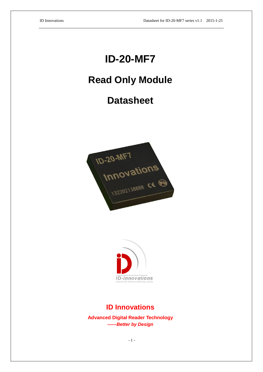# **ID-20-MF7**

## **Read Only Module**

### **Datasheet**





#### **ID Innovations**

**Advanced Digital Reader Technology** *------Better by Design*

- 1 -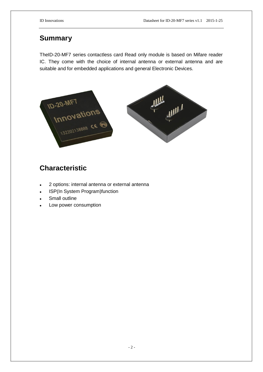#### **Summary**

TheID-20-MF7 series contactless card Read only module is based on Mifare reader IC. They come with the choice of internal antenna or external antenna and are suitable and for embedded applications and general Electronic Devices.



#### **Characteristic**

- 2 options: internal antenna or external antenna
- ISP(In System Program)function
- Small outline
- Low power consumption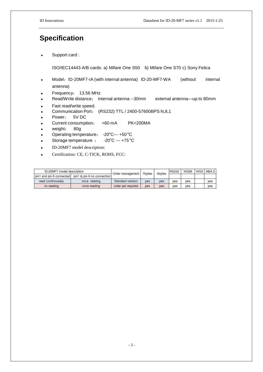#### **Specification**

Support card :

ISO/IEC14443 A/B cards: a) Mifare One S50 b) Mifare One S70 c) Sony Felica

- Model: ID-20MF7-IA (with internal antenna) ID-20-MF7-WA (without internal antenna)
- Frequency: 13.56 MHz
- Read/Write distance: internal antenna --30mm external antenna—up to 80mm
- Fast read/write speed.
- Communication Port: (RS232) TTL / 2400-57600BPS N,8,1
- Power: 5V DC
- Current consumption: <60 mA PK<200MA
- weight: 80g
- Operating temperature: 20°C--- +50 °C
- Storage temperature  $: 20^{\circ}$ C --- +75 $^{\circ}$ C
- ID-20MF7 model description:
- Certification: CE, C-TICK, ROHS, FCC:

| ID-20MF7 model description |                                                     | Order management   7bytes |            | 4bytes     | <b>RS232</b> | <b>WG26</b> | WG3 ABA2   |
|----------------------------|-----------------------------------------------------|---------------------------|------------|------------|--------------|-------------|------------|
|                            | pin1 and pin 6 connected pin1 & pin 6 no connection |                           |            |            |              |             |            |
| read continousely          | once reading                                        | Standard version          | <b>Ves</b> | <b>yes</b> | yes          | <b>yes</b>  | <b>Ves</b> |
| no reading                 | once reading                                        | order per required        | yes        | yes        | yes          | yes         | yes        |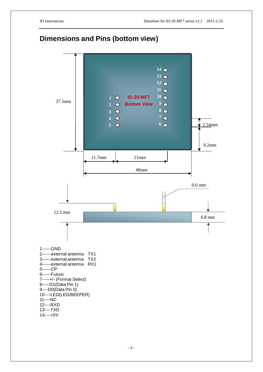### **Dimensions and Pins (bottom view)**

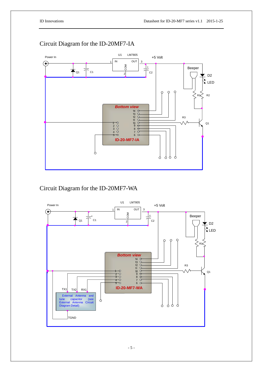

#### Circuit Diagram for the ID-20MF7-IA

Circuit Diagram for the ID-20MF7-WA

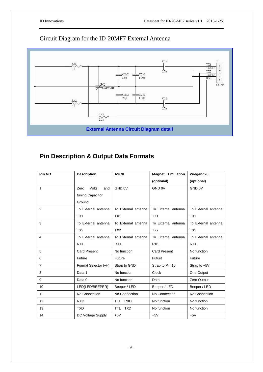#### Circuit Diagram for the ID-20MF7 External Antenna



#### **Pin Description & Output Data Formats**

| Pin.NO         | <b>Description</b>    | <b>ASCII</b>             | <b>Magnet Emulation</b> | Wiegand26           |  |
|----------------|-----------------------|--------------------------|-------------------------|---------------------|--|
|                |                       |                          | (optional)              | (optional)          |  |
| 1              | Volts<br>Zero<br>and  | GND 0V                   | GND 0V                  | GND 0V              |  |
|                | tuning Capacitor      |                          |                         |                     |  |
|                | Ground                |                          |                         |                     |  |
| 2              | To External antenna   | To External antenna      | To External antenna     | To External antenna |  |
|                | TX1                   | TX1                      | TX <sub>1</sub>         | TX <sub>1</sub>     |  |
| 3              | To External antenna   | To External antenna      | To External antenna     | To External antenna |  |
|                | TX <sub>2</sub>       | TX <sub>2</sub>          | TX <sub>2</sub>         | TX <sub>2</sub>     |  |
| 4              | To External antenna   | To External antenna      | To External antenna     | To External antenna |  |
|                | RX <sub>1</sub>       | RX <sub>1</sub>          | RX <sub>1</sub>         | RX <sub>1</sub>     |  |
| 5              | <b>Card Present</b>   | No function              | <b>Card Present</b>     | No function         |  |
| 6              | Future                | Future                   | Future                  | Future              |  |
| $\overline{7}$ | Format Selector (+/-) | Strap to GND             | Strap to Pin 10         | Strap to $+5V$      |  |
| 8              | Data 1                | No function              | <b>Clock</b>            | One Output          |  |
| 9              | Data 0                | No function              | Data                    | Zero Output         |  |
| 10             | LED(LED/BEEPER)       | Beeper / LED             | Beeper / LED            | Beeper / LED        |  |
| 11             | No Connection         | No Connection            | No Connection           | No Connection       |  |
| 12             | <b>RXD</b>            | TTL RXD                  | No function             | No function         |  |
| 13             | <b>TXD</b>            | <b>TXD</b><br><b>TTL</b> | No function             | No function         |  |
| 14             | DC Voltage Supply     | $+5V$                    | $+5V$                   | $+5V$               |  |